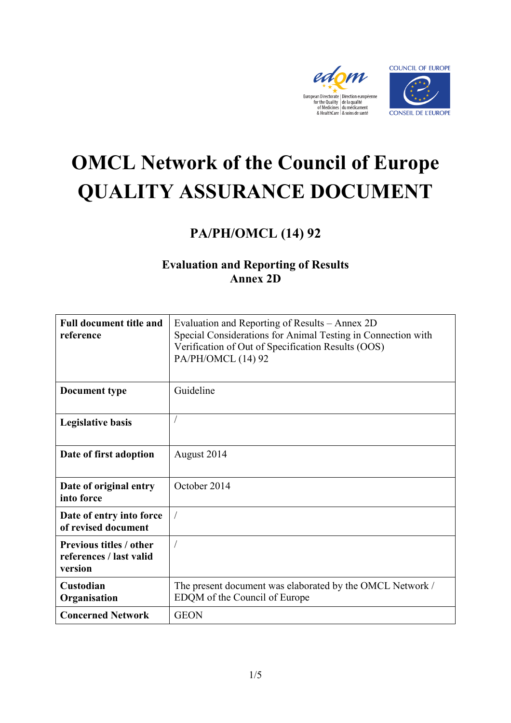



# **OMCL Network of the Council of Europe QUALITY ASSURANCE DOCUMENT**

# **PA/PH/OMCL (14) 92**

### **Evaluation and Reporting of Results Annex 2D**

| <b>Full document title and</b><br>reference                          | Evaluation and Reporting of Results – Annex 2D<br>Special Considerations for Animal Testing in Connection with<br>Verification of Out of Specification Results (OOS)<br>PA/PH/OMCL (14) 92 |
|----------------------------------------------------------------------|--------------------------------------------------------------------------------------------------------------------------------------------------------------------------------------------|
| <b>Document type</b>                                                 | Guideline                                                                                                                                                                                  |
| <b>Legislative basis</b>                                             |                                                                                                                                                                                            |
| Date of first adoption                                               | August 2014                                                                                                                                                                                |
| Date of original entry<br>into force                                 | October 2014                                                                                                                                                                               |
| Date of entry into force<br>of revised document                      |                                                                                                                                                                                            |
| <b>Previous titles / other</b><br>references / last valid<br>version | $\overline{1}$                                                                                                                                                                             |
| Custodian<br>Organisation                                            | The present document was elaborated by the OMCL Network /<br>EDQM of the Council of Europe                                                                                                 |
| <b>Concerned Network</b>                                             | <b>GEON</b>                                                                                                                                                                                |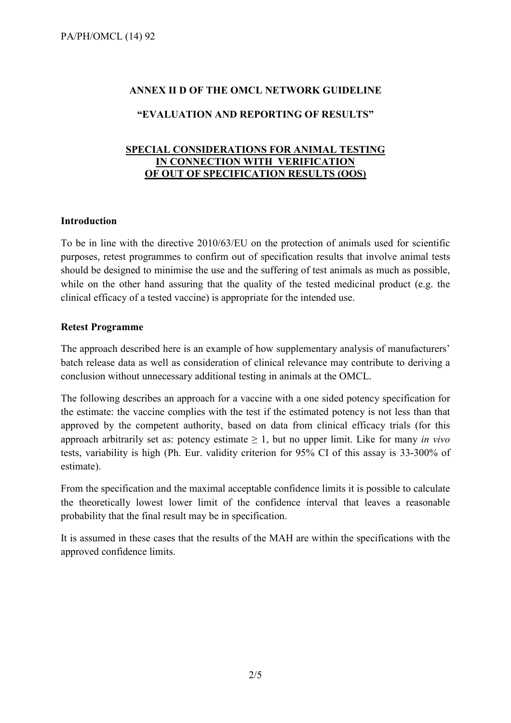## **ANNEX II D OF THE OMCL NETWORK GUIDELINE**

#### **"EVALUATION AND REPORTING OF RESULTS"**

#### **SPECIAL CONSIDERATIONS FOR ANIMAL TESTING IN CONNECTION WITH VERIFICATION OF OUT OF SPECIFICATION RESULTS (OOS)**

#### **Introduction**

To be in line with the directive 2010/63/EU on the protection of animals used for scientific purposes, retest programmes to confirm out of specification results that involve animal tests should be designed to minimise the use and the suffering of test animals as much as possible, while on the other hand assuring that the quality of the tested medicinal product (e.g. the clinical efficacy of a tested vaccine) is appropriate for the intended use.

#### **Retest Programme**

The approach described here is an example of how supplementary analysis of manufacturers' batch release data as well as consideration of clinical relevance may contribute to deriving a conclusion without unnecessary additional testing in animals at the OMCL.

The following describes an approach for a vaccine with a one sided potency specification for the estimate: the vaccine complies with the test if the estimated potency is not less than that approved by the competent authority, based on data from clinical efficacy trials (for this approach arbitrarily set as: potency estimate  $\geq 1$ , but no upper limit. Like for many *in vivo* tests, variability is high (Ph. Eur. validity criterion for 95% CI of this assay is 33-300% of estimate).

From the specification and the maximal acceptable confidence limits it is possible to calculate the theoretically lowest lower limit of the confidence interval that leaves a reasonable probability that the final result may be in specification.

It is assumed in these cases that the results of the MAH are within the specifications with the approved confidence limits.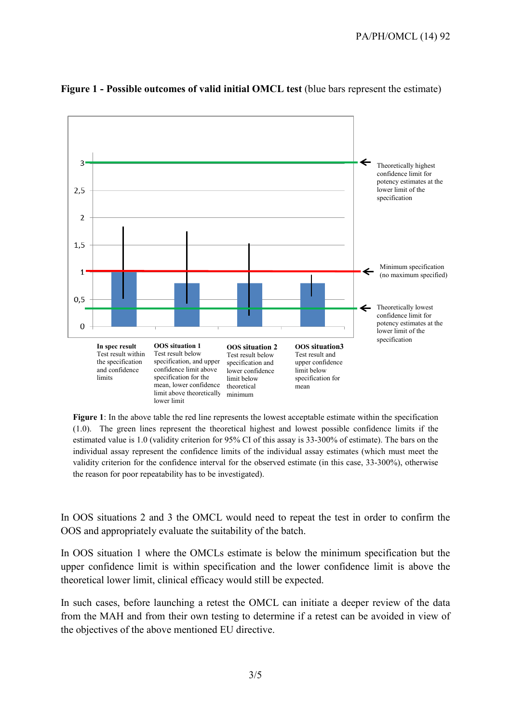

#### **Figure 1 - Possible outcomes of valid initial OMCL test** (blue bars represent the estimate)

**Figure 1**: In the above table the red line represents the lowest acceptable estimate within the specification (1.0). The green lines represent the theoretical highest and lowest possible confidence limits if the estimated value is 1.0 (validity criterion for 95% CI of this assay is 33-300% of estimate). The bars on the individual assay represent the confidence limits of the individual assay estimates (which must meet the validity criterion for the confidence interval for the observed estimate (in this case, 33-300%), otherwise the reason for poor repeatability has to be investigated).

In OOS situations 2 and 3 the OMCL would need to repeat the test in order to confirm the OOS and appropriately evaluate the suitability of the batch.

In OOS situation 1 where the OMCLs estimate is below the minimum specification but the upper confidence limit is within specification and the lower confidence limit is above the theoretical lower limit, clinical efficacy would still be expected.

In such cases, before launching a retest the OMCL can initiate a deeper review of the data from the MAH and from their own testing to determine if a retest can be avoided in view of the objectives of the above mentioned EU directive.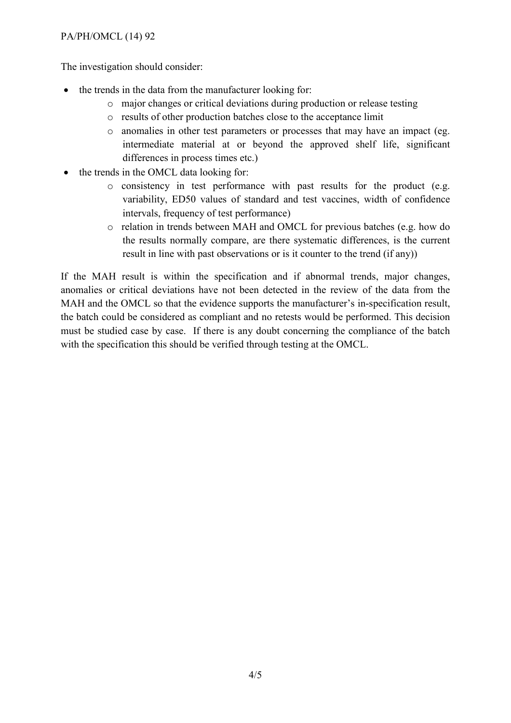#### PA/PH/OMCL (14) 92

The investigation should consider:

- the trends in the data from the manufacturer looking for:
	- o major changes or critical deviations during production or release testing
	- o results of other production batches close to the acceptance limit
	- o anomalies in other test parameters or processes that may have an impact (eg. intermediate material at or beyond the approved shelf life, significant differences in process times etc.)
- the trends in the OMCL data looking for:
	- o consistency in test performance with past results for the product (e.g. variability, ED50 values of standard and test vaccines, width of confidence intervals, frequency of test performance)
	- o relation in trends between MAH and OMCL for previous batches (e.g. how do the results normally compare, are there systematic differences, is the current result in line with past observations or is it counter to the trend (if any))

If the MAH result is within the specification and if abnormal trends, major changes, anomalies or critical deviations have not been detected in the review of the data from the MAH and the OMCL so that the evidence supports the manufacturer's in-specification result, the batch could be considered as compliant and no retests would be performed. This decision must be studied case by case. If there is any doubt concerning the compliance of the batch with the specification this should be verified through testing at the OMCL.